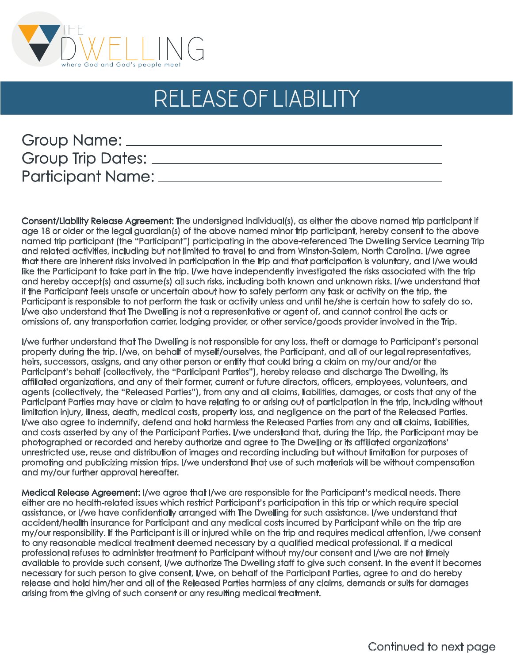

## release of liability

| Group Name:              |  |
|--------------------------|--|
| <b>Group Trip Dates:</b> |  |
| <b>Participant Name:</b> |  |

Consent/Liability Release Agreement: The undersigned individual(s), as either the above named trip participant if age 18 or older or the legal guardian(s) of the above named minor trip participant, hereby consent to the above named trip participant (the "Participant") participating in the above-referenced The Dwelling Service Learning Trip and related activities, including but not limited to travel to and from Winston-Salem, North Carolina. I/we agree that there are inherent risks involved in participation in the trip and that participation is voluntary, and I/we would like the Participant to take part in the trip. I/we have independently investigated the risks associated with the trip and hereby accept(s) and assume(s) all such risks, including both known and unknown risks. I/we understand that if the Participant feels unsafe or uncertain about how to safely perform any task or activity on the trip, the Participant is responsible to not perform the task or activity unless and until he/she is certain how to safely do so. I/we also understand that The Dwelling is not a representative or agent of, and cannot control the acts or omissions of, any transportation carrier, lodging provider, or other service/goods provider involved in the Trip.

I/we further understand that The Dwelling is not responsible for any loss, theft or damage to Participant's personal property during the trip. I/we, on behalf of myself/ourselves, the Participant, and all of our legal representatives, heirs, successors, assigns, and any other person or entity that could bring a claim on my/our and/or the Participant's behalf (collectively, the "Participant Parties"), hereby release and discharge The Dwelling, its affiliated organizations, and any of their former, current or future directors, officers, employees, volunteers, and agents (collectively, the "Released Parties"), from any and all claims, liabilities, damages, or costs that any of the Participant Parties may have or claim to have relating to or arising out of participation in the trip, including without limitation injury, illness, death, medical costs, property loss, and negligence on the part of the Released Parties. I/we also agree to indemnify, defend and hold harmless the Released Parties from any and all claims, liabilities, and costs asserted by any of the Participant Parties. I/we understand that, during the Trip, the Participant may be photographed or recorded and hereby authorize and agree to The Dwelling or its affiliated organizations' unrestricted use, reuse and distribution of images and recording including but without limitation for purposes of promoting and publicizing mission trips. I/we understand that use of such materials will be without compensation and my/our further approval hereafter.

Medical Release Agreement: I/we agree that I/we are responsible for the Participant's medical needs. There either are no health-related issues which restrict Participant's participation in this trip or which require special assistance, or I/we have confidentially arranged with The Dwelling for such assistance. I/we understand that accident/health insurance for Participant and any medical costs incurred by Participant while on the trip are my/our responsibility. If the Participant is ill or injured while on the trip and requires medical attention, I/we consent to any reasonable medical treatment deemed necessary by a qualified medical professional. If a medical professional refuses to administer treatment to Participant without my/our consent and I/we are not timely available to provide such consent, I/we authorize The Dwelling staff to give such consent. In the event it becomes necessary for such person to give consent, I/we, on behalf of the Participant Parties, agree to and do hereby release and hold him/her and all of the Released Parties harmless of any claims, demands or suits for damages arising from the giving of such consent or any resulting medical treatment.